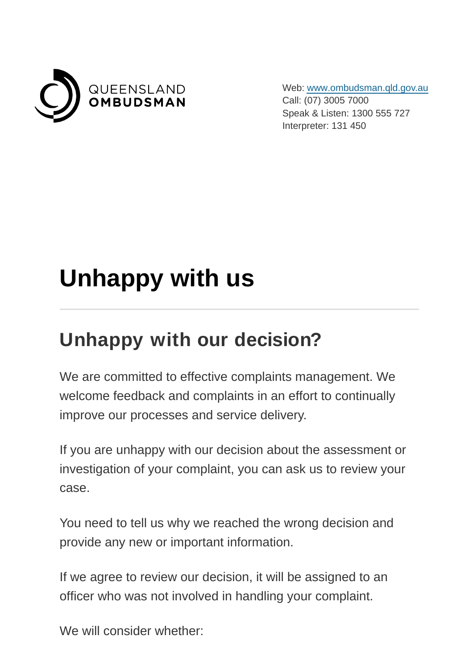

Web: [www.ombudsman.qld.gov.au](https://www.ombudsman.qld.gov.au/) Call: (07) 3005 7000 Speak & Listen: 1300 555 727 Interpreter: 131 450

## **Unhappy with us**

## **Unhappy with our decision?**

We are committed to effective complaints management. We welcome feedback and complaints in an effort to continually improve our processes and service delivery.

If you are unhappy with our decision about the assessment or investigation of your complaint, you can ask us to review your case.

You need to tell us why we reached the wrong decision and provide any new or important information.

If we agree to review our decision, it will be assigned to an officer who was not involved in handling your complaint.

We will consider whether: